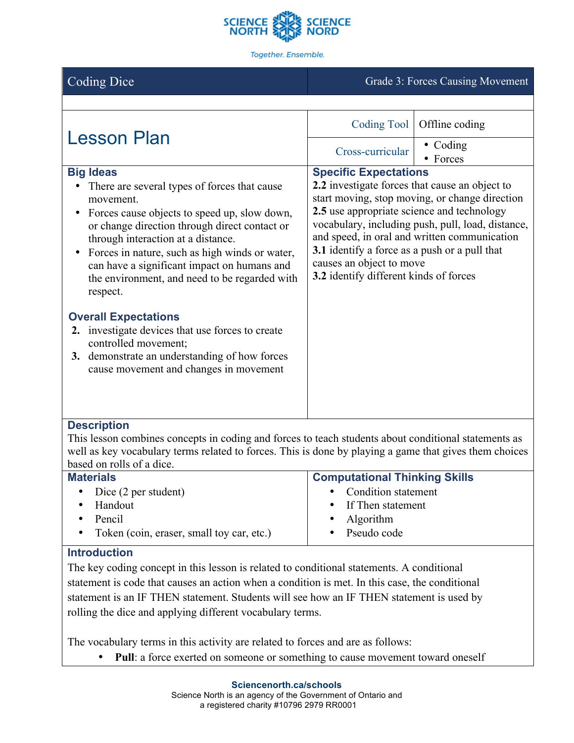

Together. Ensemble.

# Coding Dice Grade 3: Forces Causing Movement

| <b>Lesson Plan</b>                                                                                                                                                                                                                                                                                                    | Coding Tool                                                                                                                                                                                                                                                                                                                                                             | Offline coding               |  |
|-----------------------------------------------------------------------------------------------------------------------------------------------------------------------------------------------------------------------------------------------------------------------------------------------------------------------|-------------------------------------------------------------------------------------------------------------------------------------------------------------------------------------------------------------------------------------------------------------------------------------------------------------------------------------------------------------------------|------------------------------|--|
|                                                                                                                                                                                                                                                                                                                       | Cross-curricular                                                                                                                                                                                                                                                                                                                                                        | $\bullet$ Coding<br>• Forces |  |
| <b>Big Ideas</b><br>There are several types of forces that cause<br>movement.<br>Forces cause objects to speed up, slow down,<br>or change direction through direct contact or<br>through interaction at a distance.<br>Forces in nature, such as high winds or water,<br>can have a significant impact on humans and | <b>Specific Expectations</b><br>2.2 investigate forces that cause an object to<br>start moving, stop moving, or change direction<br>2.5 use appropriate science and technology<br>vocabulary, including push, pull, load, distance,<br>and speed, in oral and written communication<br><b>3.1</b> identify a force as a push or a pull that<br>causes an object to move |                              |  |
| the environment, and need to be regarded with<br>respect.<br><b>Overall Expectations</b><br>2. investigate devices that use forces to create<br>controlled movement;                                                                                                                                                  | 3.2 identify different kinds of forces                                                                                                                                                                                                                                                                                                                                  |                              |  |
| 3. demonstrate an understanding of how forces<br>cause movement and changes in movement                                                                                                                                                                                                                               |                                                                                                                                                                                                                                                                                                                                                                         |                              |  |
| <b>Description</b>                                                                                                                                                                                                                                                                                                    |                                                                                                                                                                                                                                                                                                                                                                         |                              |  |
| This lesson combines concents in coding and forces to teach students about conditional statements as                                                                                                                                                                                                                  |                                                                                                                                                                                                                                                                                                                                                                         |                              |  |

This lesson combines concepts in coding and forces to teach students about conditional statements as well as key vocabulary terms related to forces. This is done by playing a game that gives them choices based on rolls of a dice.

| <b>Materials</b>                                       | <b>Computational Thinking Skills</b> |  |
|--------------------------------------------------------|--------------------------------------|--|
| Dice (2 per student)                                   | • Condition statement                |  |
| Handout                                                | • If Then statement                  |  |
| Pencil                                                 | • Algorithm                          |  |
| Token (coin, eraser, small toy car, etc.)<br>$\bullet$ | • Pseudo code                        |  |

## **Introduction**

The key coding concept in this lesson is related to conditional statements. A conditional statement is code that causes an action when a condition is met. In this case, the conditional statement is an IF THEN statement. Students will see how an IF THEN statement is used by rolling the dice and applying different vocabulary terms.

The vocabulary terms in this activity are related to forces and are as follows:

• **Pull**: a force exerted on someone or something to cause movement toward oneself